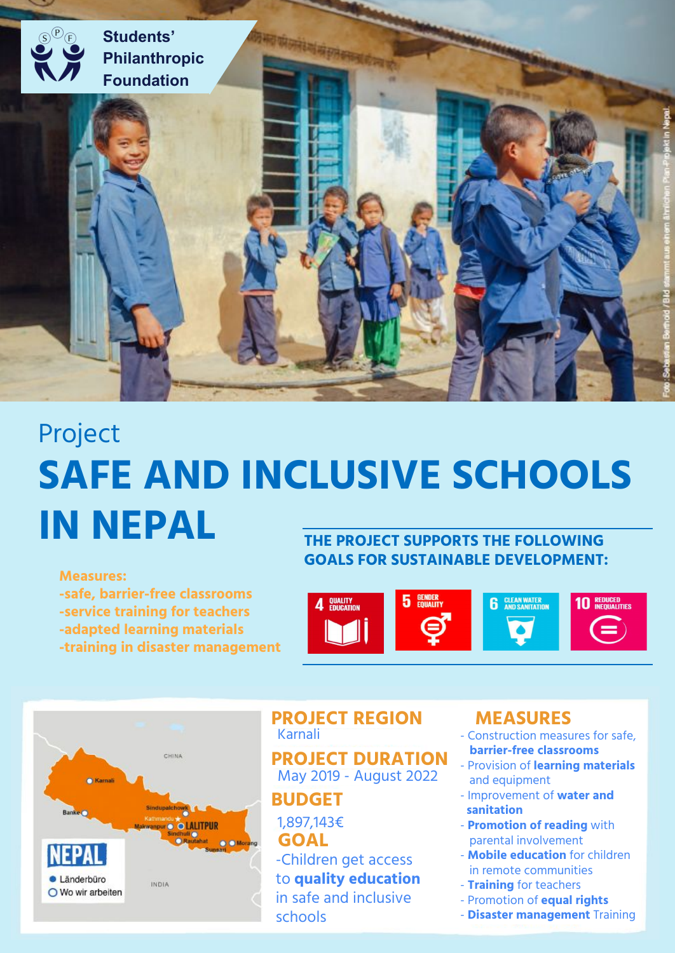

# Project **SAFE AND INCLUSIVE SCHOOLS IN NEPAL THE PROJECT SUPPORTS THE FOLLOWING**

**Measures:**

**-safe, barrier-free classrooms -service training for teachers -adapted learning materials -training in disaster management** **GOALS FOR SUSTAINABLE DEVELOPMENT:**





#### **PROJECT REGION** Karnali

**PROJECT DURATION** May 2019 - August 2022

**BUDGET**

# **GOAL** 1,897,143€

-Children get access to **quality education** in safe and inclusive schools

# **MEASURES**

- Construction measures for safe,  **barrier-free classrooms**
- Provision of **learning materials** and equipment
- Improvement of **water and sanitation**
- **Promotion of reading** with parental involvement
- **Mobile education** for children in remote communities
- **Training** for teachers
- Promotion of **equal rights**
- **Disaster management** Training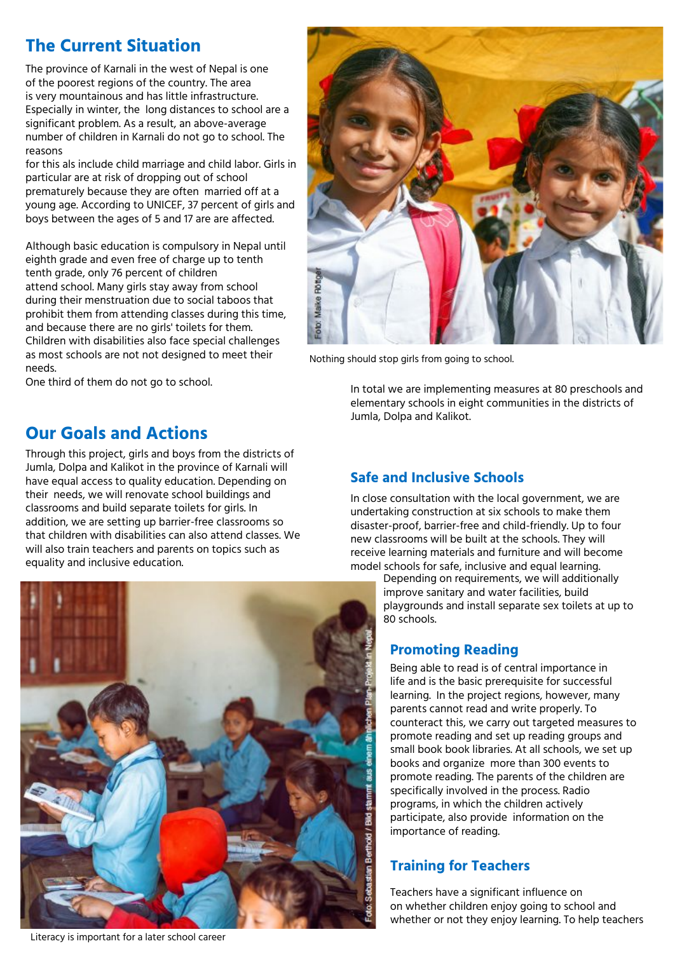# **The Current Situation**

The province of Karnali in the west of Nepal is one of the poorest regions of the country. The area is very mountainous and has little infrastructure. Especially in winter, the long distances to school are a significant problem. As a result, an above-average number of children in Karnali do not go to school. The reasons

for this als include child marriage and child labor. Girls in particular are at risk of dropping out of school prematurely because they are often married off at a young age. According to UNICEF, 37 percent of girls and boys between the ages of 5 and 17 are are affected.

Although basic education is compulsory in Nepal until eighth grade and even free of charge up to tenth tenth grade, only 76 percent of children attend school. Many girls stay away from school during their menstruation due to social taboos that prohibit them from attending classes during this time, and because there are no girls' toilets for them. Children with disabilities also face special challenges as most schools are not not designed to meet their needs.

One third of them do not go to school.

## **Our Goals and Actions**

Through this project, girls and boys from the districts of Jumla, Dolpa and Kalikot in the province of Karnali will have equal access to quality education. Depending on their needs, we will renovate school buildings and classrooms and build separate toilets for girls. In addition, we are setting up barrier-free classrooms so that children with disabilities can also attend classes. We will also train teachers and parents on topics such as equality and inclusive education.



Literacy is important for a later school career



Nothing should stop girls from going to school.

In total we are implementing measures at 80 preschools and elementary schools in eight communities in the districts of Jumla, Dolpa and Kalikot.

#### **Safe and Inclusive Schools**

In close consultation with the local government, we are undertaking construction at six schools to make them disaster-proof, barrier-free and child-friendly. Up to four new classrooms will be built at the schools. They will receive learning materials and furniture and will become model schools for safe, inclusive and equal learning.

Depending on requirements, we will additionally improve sanitary and water facilities, build playgrounds and install separate sex toilets at up to 80 schools.

#### **Promoting Reading**

Being able to read is of central importance in life and is the basic prerequisite for successful learning. In the project regions, however, many parents cannot read and write properly. To counteract this, we carry out targeted measures to promote reading and set up reading groups and small book book libraries. At all schools, we set up books and organize more than 300 events to promote reading. The parents of the children are specifically involved in the process. Radio programs, in which the children actively participate, also provide information on the importance of reading.

#### **Training for Teachers**

Teachers have a significant influence on on whether children enjoy going to school and whether or not they enjoy learning. To help teachers